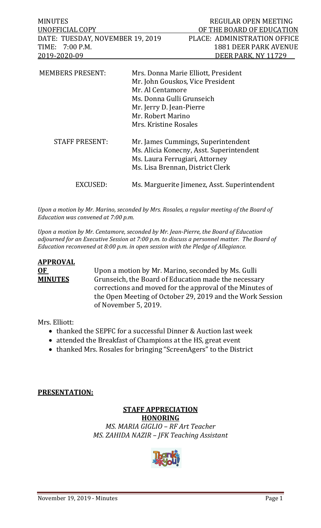| <b>MINUTES</b>                   | REGULAR OPEN MEETING                                                                                                                                                                               |
|----------------------------------|----------------------------------------------------------------------------------------------------------------------------------------------------------------------------------------------------|
| UNOFFICIAL COPY                  | OF THE BOARD OF EDUCATION                                                                                                                                                                          |
| DATE: TUESDAY, NOVEMBER 19, 2019 | PLACE: ADMINISTRATION OFFICE                                                                                                                                                                       |
| TIME: 7:00 P.M.                  | <b>1881 DEER PARK AVENUE</b>                                                                                                                                                                       |
| 2019-2020-09                     | DEER PARK, NY 11729                                                                                                                                                                                |
| <b>MEMBERS PRESENT:</b>          | Mrs. Donna Marie Elliott, President<br>Mr. John Gouskos, Vice President<br>Mr. Al Centamore<br>Ms. Donna Gulli Grunseich<br>Mr. Jerry D. Jean-Pierre<br>Mr. Robert Marino<br>Mrs. Kristine Rosales |
| <b>STAFF PRESENT:</b>            | Mr. James Cummings, Superintendent<br>Ms. Alicia Konecny, Asst. Superintendent<br>Ms. Laura Ferrugiari, Attorney<br>Ms. Lisa Brennan, District Clerk                                               |
| EXCUSED:                         | Ms. Marguerite Jimenez, Asst. Superintendent                                                                                                                                                       |

*Upon a motion by Mr. Marino, seconded by Mrs. Rosales, a regular meeting of the Board of Education was convened at 7:00 p.m.*

*Upon a motion by Mr. Centamore, seconded by Mr. Jean-Pierre, the Board of Education adjourned for an Executive Session at 7:00 p.m. to discuss a personnel matter. The Board of Education reconvened at 8:00 p.m. in open session with the Pledge of Allegiance.* 

# **APPROVAL**

**OF** Upon a motion by Mr. Marino, seconded by Ms. Gulli<br>**MINUTES** Grunseich, the Board of Education made the necessa Grunseich, the Board of Education made the necessary corrections and moved for the approval of the Minutes of the Open Meeting of October 29, 2019 and the Work Session of November 5, 2019.

Mrs. Elliott:

- thanked the SEPFC for a successful Dinner & Auction last week
- attended the Breakfast of Champions at the HS, great event
- thanked Mrs. Rosales for bringing "ScreenAgers" to the District

# **PRESENTATION:**

# **STAFF APPRECIATION**

**HONORING** *MS. MARIA GIGLIO – RF Art Teacher MS. ZAHIDA NAZIR – JFK Teaching Assistant*

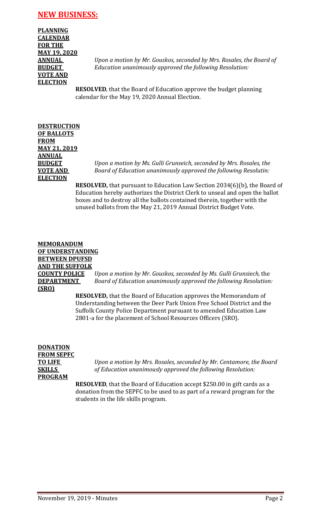# **NEW BUSINESS:**

**PLANNING CALENDAR FOR THE MAY 19, 2020 VOTE AND ELECTION**

**ANNUAL** *Upon a motion by Mr. Gouskos, seconded by Mrs. Rosales, the Board of*  **BUDGET** *Education unanimously approved the following Resolution:*

> **RESOLVED**, that the Board of Education approve the budget planning calendar for the May 19, 2020 Annual Election.

# **DESTRUCTION OF BALLOTS FROM MAY 21, 2019 ANNUAL ELECTION**

**BUDGET** *Upon a motion by Ms. Gulli Grunseich, seconded by Mrs. Rosales, the*  **VOTE AND** *Board of Education unanimously approved the following Resolutin:*

> **RESOLVED,** that pursuant to Education Law Section 2034(6)(b), the Board of Education hereby authorizes the District Clerk to unseal and open the ballot boxes and to destroy all the ballots contained therein, together with the unused ballots from the May 21, 2019 Annual District Budget Vote.

## **MEMORANDUM OF UNDERSTANDING BETWEEN DPUFSD AND THE SUFFOLK COUNTY POLICE** *Upon a motion by Mr. Gouskos, seconded by Ms. Gulli Grunsiech,* the **DEPARTMENT** *Board of Education unanimously approved the following Resolution:* **(SRO)**

**RESOLVED,** that the Board of Education approves the Memorandum of Understanding between the Deer Park Union Free School District and the Suffolk County Police Department pursuant to amended Education Law 2801-a for the placement of School Resources Officers (SRO).

**DONATION FROM SEPFC PROGRAM**

**TO LIFE** *Upon a motion by Mrs. Rosales, seconded by Mr. Centamore, the Board*  **SKILLS** *of Education unanimously approved the following Resolution:*

> **RESOLVED**, that the Board of Education accept \$250.00 in gift cards as a donation from the SEPFC to be used to as part of a reward program for the students in the life skills program.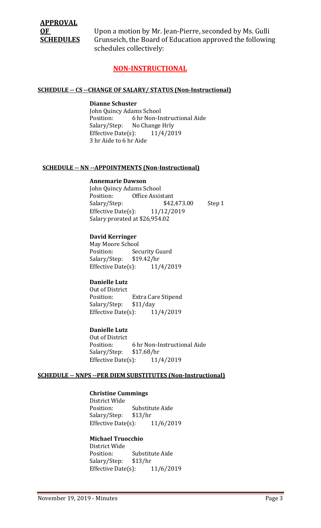# **APPROVAL**

**OF** Upon a motion by Mr. Jean-Pierre, seconded by Ms. Gulli<br>**SCHEDULES** Grunseich, the Board of Education approved the followir Grunseich, the Board of Education approved the following schedules collectively:

# **NON-INSTRUCTIONAL**

#### **SCHEDULE -- CS --CHANGE OF SALARY/ STATUS (Non-Instructional)**

#### **Dianne Schuster**

John Quincy Adams School<br>Position: 6 hr Non-In 6 hr Non-Instructional Aide Salary/Step: No Change Hrly<br>Effective Date(s): 11/4/2019 Effective Date $(s)$ : 3 hr Aide to 6 hr Aide

#### **SCHEDULE -- NN --APPOINTMENTS (Non-Instructional)**

#### **Annemarie Dawson**

John Quincy Adams School<br>Position: Office Assis Office Assistant<br>\$42,473.00 Salary/Step: \$42,473.00 Step 1<br>Effective Date(s):  $11/12/2019$ Effective Date $(s)$ : Salary prorated at \$26,954.02

#### **David Kerringer**

May Moore School<br>Position: Sec Security Guard<br>\$19.42/hr Salary/Step: \$19.42/hr<br>Effective Date(s): 11/4/2019 Effective Date $(s)$ :

# **Danielle Lutz**

Out of District<br>Position: Extra Care Stipend Salary/Step: \$11/day<br>Effective Date(s): 11/4/2019 Effective Date $(s)$ :

# **Danielle Lutz**

Out of District<br>Position: 6 hr Non-Instructional Aide<br>\$17.68/hr Salary/Step: \$17.68/hr<br>Effective Date(s): 11/4/2019 Effective Date(s):

#### **SCHEDULE -- NNPS --PER DIEM SUBSTITUTES (Non-Instructional)**

# **Christine Cummings**

District Wide Substitute Aide<br>\$13/hr Salary/Step: \$13/hr<br>Effective Date(s): 11/6/2019 Effective Date $(s)$ :

#### **Michael Truocchio**

District Wide Position: Substitute Aide<br>Salary/Step: \$13/hr Salary/Step: \$13/hr<br>Effective Date(s): 11/6/2019 Effective Date $(s)$ :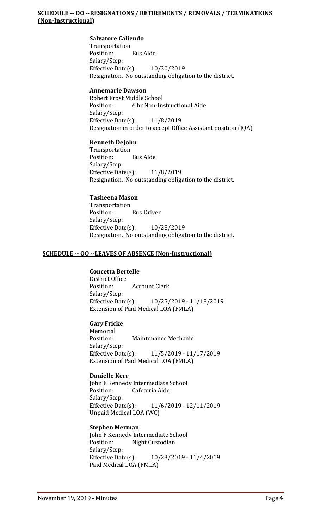**Salvatore Caliendo** Transportation<br>Position: **Bus Aide** Salary/Step: Effective Date(s): 10/30/2019 Resignation. No outstanding obligation to the district.

# **Annemarie Dawson**

Robert Frost Middle School<br>Position: 6 hr Non-In: 6 hr Non-Instructional Aide Salary/Step: Effective Date(s): 11/8/2019 Resignation in order to accept Office Assistant position (JQA)

#### **Kenneth DeJohn**

Transportation Position: Bus Aide Salary/Step: Effective Date(s): 11/8/2019 Resignation. No outstanding obligation to the district.

#### **Tasheena Mason**

Transportation<br>Position: **Bus Driver** Salary/Step: Effective Date(s): 10/28/2019 Resignation. No outstanding obligation to the district.

#### **SCHEDULE -- QQ --LEAVES OF ABSENCE (Non-Instructional)**

# **Concetta Bertelle**

District Office **Account Clerk** Salary/Step:<br>Effective Date(s): Effective Date(s): 10/25/2019 - 11/18/2019 Extension of Paid Medical LOA (FMLA)

# **Gary Fricke**

Memorial<br>Position: Maintenance Mechanic Salary/Step:<br>Effective Date(s): Effective Date(s): 11/5/2019 - 11/17/2019 Extension of Paid Medical LOA (FMLA)

# **Danielle Kerr**

John F Kennedy Intermediate School<br>Position: Cafeteria Aide Cafeteria Aide Salary/Step:<br>Effective Date(s): Effective Date(s): 11/6/2019 - 12/11/2019 Unpaid Medical LOA (WC)

# **Stephen Merman**

John F Kennedy Intermediate School<br>Position: Night Custodian Night Custodian Salary/Step:<br>Effective Date(s): Effective Date(s): 10/23/2019 - 11/4/2019 Paid Medical LOA (FMLA)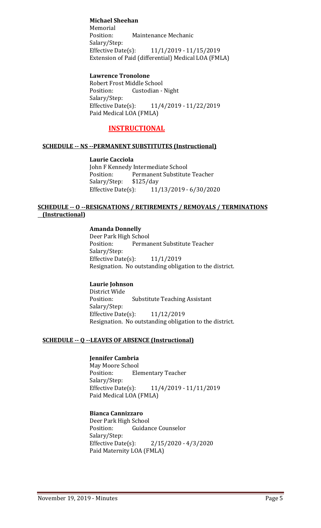# **Michael Sheehan**

Memorial<br>Position: Maintenance Mechanic Salary/Step:<br>Effective Date(s): Effective Date(s): 11/1/2019 - 11/15/2019 Extension of Paid (differential) Medical LOA (FMLA)

# **Lawrence Tronolone**

Robert Frost Middle School<br>Position: Custodian -Custodian - Night Salary/Step:<br>Effective Date(s): Effective Date(s): 11/4/2019 - 11/22/2019 Paid Medical LOA (FMLA)

# **INSTRUCTIONAL**

# **SCHEDULE -- NS --PERMANENT SUBSTITUTES (Instructional)**

#### **Laurie Cacciola**

John F Kennedy Intermediate School<br>Position: Permanent Substitute Permanent Substitute Teacher<br>\$125/day Salary/Step: \$1<br>Effective Date(s): Effective Date(s): 11/13/2019 - 6/30/2020

# **SCHEDULE -- O --RESIGNATIONS / RETIREMENTS / REMOVALS / TERMINATIONS (Instructional)**

# **Amanda Donnelly**

Deer Park High School<br>Position: Permai Permanent Substitute Teacher Salary/Step: Effective Date(s): 11/1/2019 Resignation. No outstanding obligation to the district.

# **Laurie Johnson**

District Wide **Substitute Teaching Assistant** Salary/Step: Effective Date(s): 11/12/2019 Resignation. No outstanding obligation to the district.

# **SCHEDULE -- Q --LEAVES OF ABSENCE (Instructional)**

# **Jennifer Cambria**

May Moore School<br>Position: Ele **Elementary Teacher** Salary/Step:<br>Effective Date(s): Effective Date(s): 11/4/2019 - 11/11/2019 Paid Medical LOA (FMLA)

# **Bianca Cannizzaro**

Deer Park High School<br>Position: Guidan **Guidance Counselor** Salary/Step: Effective Date(s): 2/15/2020 - 4/3/2020 Paid Maternity LOA (FMLA)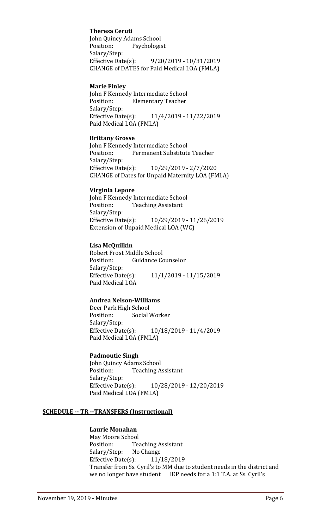# **Theresa Ceruti**

John Quincy Adams School<br>Position: Psychologis Psychologist Salary/Step:<br>Effective Date(s): Effective Date(s): 9/20/2019 - 10/31/2019 CHANGE of DATES for Paid Medical LOA (FMLA)

#### **Marie Finley**

John F Kennedy Intermediate School<br>Position: Elementary Teacher **Elementary Teacher** Salary/Step:<br>Effective Date(s): Effective Date(s): 11/4/2019 - 11/22/2019 Paid Medical LOA (FMLA)

#### **Brittany Grosse**

John F Kennedy Intermediate School<br>Position: Permanent Substitute Permanent Substitute Teacher Salary/Step: Effective Date(s): 10/29/2019 - 2/7/2020 CHANGE of Dates for Unpaid Maternity LOA (FMLA)

#### **Virginia Lepore**

John F Kennedy Intermediate School<br>Position: Teaching Assistant **Teaching Assistant** Salary/Step:<br>Effective Date(s): Effective Date(s): 10/29/2019 - 11/26/2019 Extension of Unpaid Medical LOA (WC)

#### **Lisa McQuilkin**

Robert Frost Middle School<br>Position: Guidance Co **Guidance Counselor** Salary/Step:<br>Effective Date(s): Effective Date(s): 11/1/2019 - 11/15/2019 Paid Medical LOA

# **Andrea Nelson-Williams**

Deer Park High School<br>Position: Social V Social Worker Salary/Step: Effective Date(s): 10/18/2019 - 11/4/2019 Paid Medical LOA (FMLA)

# **Padmoutie Singh**

John Quincy Adams School<br>Position: Teaching A **Teaching Assistant** Salary/Step:<br>Effective Date(s): Effective Date(s): 10/28/2019 - 12/20/2019 Paid Medical LOA (FMLA)

#### **SCHEDULE -- TR --TRANSFERS (Instructional)**

# **Laurie Monahan**

May Moore School<br>Position: Tea Teaching Assistant<br>No Change Salary/Step: No Change<br>Effective Date(s): 11/18/2019 Effective Date $(s)$ : Transfer from Ss. Cyril's to MM due to student needs in the district and we no longer have student IEP needs for a 1:1 T.A. at Ss. Cyril's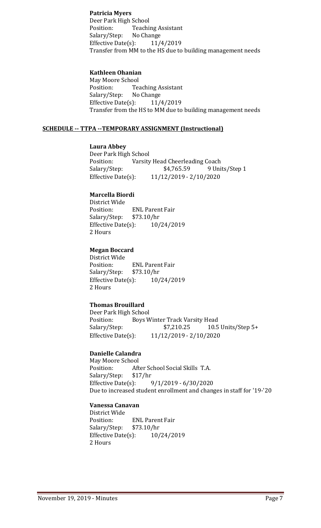# **Patricia Myers**

Deer Park High School Teaching Assistant<br>No Change Salary/Step: No Change<br>Effective Date(s): 11/4/2019 Effective Date $(s)$ : Transfer from MM to the HS due to building management needs

## **Kathleen Ohanian**

May Moore School<br>Position: Tea Teaching Assistant<br>No Change Salary/Step: No Change<br>Effective Date(s): 11/4/2019 Effective Date $(s)$ : Transfer from the HS to MM due to building management needs

#### **SCHEDULE -- TTPA --TEMPORARY ASSIGNMENT (Instructional)**

#### **Laura Abbey**

Deer Park High School<br>Position: Varsity Position: Varsity Head Cheerleading Coach<br>Salary/Step: \$4,765.59 9 Uni 9 Units/Step 1 Effective Date(s): 11/12/2019 - 2/10/2020

#### **Marcella Biordi**

District Wide ENL Parent Fair<br>\$73.10/hr Salary/Step: \$73.10/hr<br>Effective Date(s): 10/24/2019 Effective Date $(s)$ : 2 Hours

#### **Megan Boccard**

District Wide ENL Parent Fair<br>\$73.10/hr Salary/Step: \$73.10/hr<br>Effective Date(s): 10/24/2019 Effective Date $(s)$ : 2 Hours

# **Thomas Brouillard**

Deer Park High School<br>Position: Boys W Position: Boys Winter Track Varsity Head<br>Salary/Step: \$7,210.25 10.5 Salary/Step: \$7,210.25 10.5 Units/Step 5+<br>Effective Date(s): 11/12/2019 - 2/10/2020 Effective Date(s): 11/12/2019 - 2/10/2020

#### **Danielle Calandra**

May Moore School<br>Position: Aft After School Social Skills T.A.<br>\$17/hr Salary/Step: \$1<br>Effective Date(s): Effective Date(s): 9/1/2019 - 6/30/2020 Due to increased student enrollment and changes in staff for '19-'20

#### **Vanessa Canavan**

District Wide<br>Position: ENL Parent Fair<br>\$73.10/hr Salary/Step: \$73.10/hr<br>Effective Date(s): 10/24/2019 Effective Date $(s)$ : 2 Hours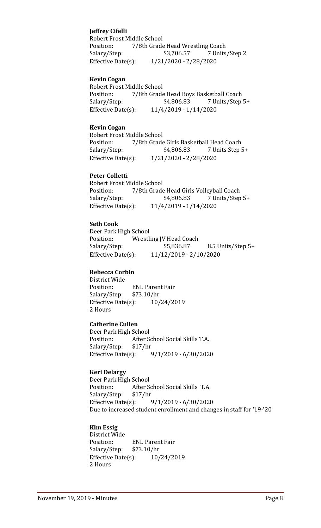# **Jeffrey Cifelli**

Robert Frost Middle School<br>Position: 7/8th Grade Position: 7/8th Grade Head Wrestling Coach<br>Salary/Step: \$3,706.57 7 Units 7 Units/Step 2 Effective Date(s): 1/21/2020 - 2/28/2020

#### **Kevin Cogan**

Robert Frost Middle School<br>Position: 7/8th Grade Position: 7/8th Grade Head Boys Basketball Coach<br>Salary/Step: \$4,806.83 7 Units/Step 7 Units/Step 5+ Effective Date(s): 11/4/2019 - 1/14/2020

## **Kevin Cogan**

Robert Frost Middle School<br>Position: 7/8th Grade Position: 7/8th Grade Girls Basketball Head Coach<br>Salary/Step: \$4,806.83 7 Units Step ! 7 Units Step 5+ Effective Date(s): 1/21/2020 - 2/28/2020

#### **Peter Colletti**

Robert Frost Middle School<br>Position: 7/8th Grade Position: 7/8th Grade Head Girls Volleyball Coach<br>Salary/Step: \$4,806.83 7 Units/Step Salary/Step: \$4,806.83 7 Units/Step 5+<br>Effective Date(s): 11/4/2019 - 1/14/2020 Effective Date(s): 11/4/2019 - 1/14/2020

#### **Seth Cook**

Deer Park High School Position: Wrestling JV Head Coach<br>Salary/Step: \$5,836.87 8.5 Units/Step 5+ Effective Date(s): 11/12/2019 - 2/10/2020

# **Rebecca Corbin**

District Wide ENL Parent Fair<br>\$73.10/hr Salary/Step: \$73.10/hr<br>Effective Date(s): 10/24/2019 Effective Date $(s)$ : 2 Hours

## **Catherine Cullen**

Deer Park High School<br>Position: After S After School Social Skills T.A.<br>\$17/hr Salary/Step: \$1<br>Effective Date(s): Effective Date(s): 9/1/2019 - 6/30/2020

# **Keri Delargy**

Deer Park High School<br>Position: After So After School Social Skills T.A.<br>\$17/hr Salary/Step: Effective Date(s): 9/1/2019 - 6/30/2020 Due to increased student enrollment and changes in staff for '19-'20

# **Kim Essig**

District Wide ENL Parent Fair<br>\$73.10/hr Salary/Step: Effective Date(s): 10/24/2019 2 Hours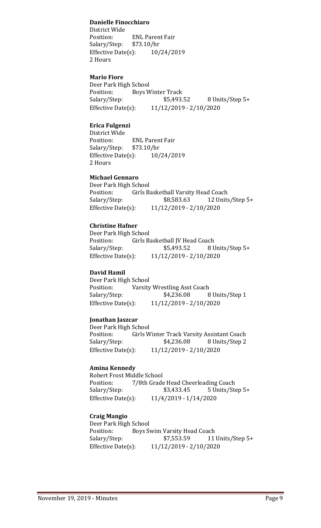# **Danielle Finocchiaro**

District Wide ENL Parent Fair<br>\$73.10/hr Salary/Step: \$73.10/hr<br>Effective Date(s): 10/24/2019 Effective Date $(s)$ : 2 Hours

#### **Mario Fiore**

Deer Park High School<br>Position: Boys W Position: Boys Winter Track<br>Salary/Step: \$5,493. Salary/Step: \$5,493.52 8 Units/Step 5+<br>Effective Date(s): 11/12/2019 - 2/10/2020 Effective Date(s): 11/12/2019 - 2/10/2020

# **Erica Fulgenzi**

District Wide<br>Position: ENL Parent Fair<br>\$73.10/hr Salary/Step: \$73.10/hr<br>Effective Date(s): 10/24/2019 Effective Date $(s)$ : 2 Hours

# **Michael Gennaro**

Deer Park High School<br>Position: Girls B Position: Girls Basketball Varsity Head Coach<br>Salary/Step: \$8,583.63 12 Units 12 Units/Step 5+ Effective Date(s): 11/12/2019 - 2/10/2020

#### **Christine Hafner**

Deer Park High School<br>Position: Girls B Position: Girls Basketball JV Head Coach<br>Salary/Step: \$5,493.52 8 U \$5,493.52 8 Units/Step 5+ Effective Date(s): 11/12/2019 - 2/10/2020

#### **David Hamil**

Deer Park High School<br>Position: Varsity Position: Varsity Wrestling Asst Coach<br>Salary/Step: \$4,236.08 8 Salary/Step: \$4,236.08 8 Units/Step 1<br>Effective Date(s): 11/12/2019 - 2/10/2020 Effective Date(s): 11/12/2019 - 2/10/2020

#### **Jonathan Jaszcar**

Deer Park High School<br>Position: Girls W Girls Winter Track Varsity Assistant Coach<br>\$4,236.08 8 Units/Step 2 Salary/Step: Effective Date(s): 11/12/2019 - 2/10/2020

#### **Amina Kennedy**

Robert Frost Middle School<br>Position: 7/8th Grade Position: 7/8th Grade Head Cheerleading Coach<br>Salary/Step: \$3,433.45 5 Units/Ste Salary/Step: \$3,433.45 5 Units/Step 5+<br>Effective Date(s): 11/4/2019 - 1/14/2020 Effective Date(s): 11/4/2019 - 1/14/2020

#### **Craig Mangio**

Deer Park High School<br>Position: Boys S Position: Boys Swim Varsity Head Coach<br>Salary/Step: \$7,553.59 11 Salary/Step: \$7,553.59 11 Units/Step 5+<br>Effective Date(s): 11/12/2019 - 2/10/2020 Effective Date(s): 11/12/2019 - 2/10/2020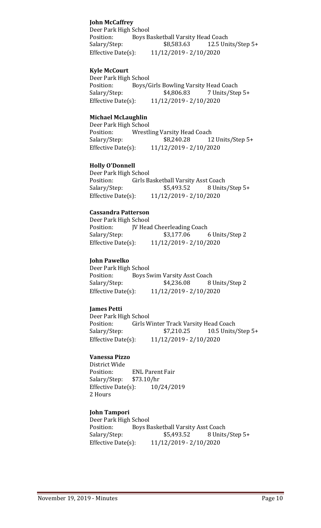# **John McCaffrey**

Deer Park High School Position: Boys Basketball Varsity Head Coach<br>Salary/Step: \$8,583.63 12.5 Uni 12.5 Units/Step  $5+$ Effective Date(s): 11/12/2019 - 2/10/2020

# **Kyle McCourt**

Deer Park High School<br>Position: Bovs/C Position: Boys/Girls Bowling Varsity Head Coach<br>Salary/Step: \$4,806.83 7 Units/Ste Salary/Step: \$4,806.83 7 Units/Step 5+<br>Effective Date(s): 11/12/2019 - 2/10/2020 Effective Date(s): 11/12/2019 - 2/10/2020

# **Michael McLaughlin**

Deer Park High School Position: Wrestling Varsity Head Coach<br>Salary/Step: \$8,240.28 12 12 Units/Step 5+ Effective Date(s): 11/12/2019 - 2/10/2020

# **Holly O'Donnell**

Deer Park High School<br>Position: Girls B Position: Girls Basketball Varsity Asst Coach<br>Salary/Step: \$5,493.52 8 Units Salary/Step: \$5,493.52 8 Units/Step 5+<br>Effective Date(s): 11/12/2019 - 2/10/2020 Effective Date(s): 11/12/2019 - 2/10/2020

# **Cassandra Patterson**

Deer Park High School<br>Position: IV Hea Position: JV Head Cheerleading Coach<br>Salary/Step: \$3,177.06 Salary/Step: \$3,177.06 6 Units/Step 2<br>Effective Date(s): 11/12/2019 - 2/10/2020 Effective Date(s): 11/12/2019 - 2/10/2020

# **John Pawelko**

Deer Park High School<br>Position: Boys Sy Position: Boys Swim Varsity Asst Coach<br>Salary/Step: \$4,236.08 8 Salary/Step: \$4,236.08 8 Units/Step 2<br>Effective Date(s): 11/12/2019 - 2/10/2020 Effective Date(s): 11/12/2019 - 2/10/2020

# **James Petti**

Deer Park High School<br>Position: Girls W Position: Girls Winter Track Varsity Head Coach<br>Salary/Step: \$7,210.25 10.5 Units 10.5 Units/Step  $5+$ Effective Date(s): 11/12/2019 - 2/10/2020

# **Vanessa Pizzo**

District Wide<br>Position: ENL Parent Fair<br>\$73.10/hr Salary/Step: \$73.10/hr<br>Effective Date(s): 10/24/2019 Effective Date $(s)$ : 2 Hours

# **John Tampori**

Deer Park High School<br>Position: Boys B Position: Boys Basketball Varsity Asst Coach<br>Salary/Step: \$5,493.52 8 Units 8 Units/Step 5+ Effective Date(s): 11/12/2019 - 2/10/2020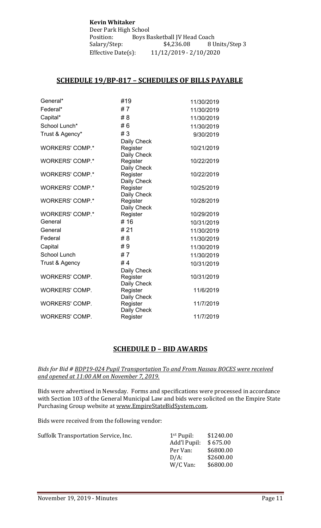**Kevin Whitaker** Deer Park High School<br>Position: Boys B Boys Basketball JV Head Coach<br>\$4,236.08 8 Units/Step 3 Salary/Step:<br>Effective Date(s): Effective Date(s): 11/12/2019 - 2/10/2020

# **SCHEDULE 19/BP-817 – SCHEDULES OF BILLS PAYABLE**

| General*               | #19                     | 11/30/2019 |
|------------------------|-------------------------|------------|
| Federal*               | #7                      | 11/30/2019 |
| Capital*               | #8                      | 11/30/2019 |
| School Lunch*          | #6                      | 11/30/2019 |
| Trust & Agency*        | #3                      | 9/30/2019  |
|                        | Daily Check             |            |
| <b>WORKERS' COMP.*</b> | Register                | 10/21/2019 |
|                        | Daily Check             |            |
| <b>WORKERS' COMP.*</b> | Register                | 10/22/2019 |
| <b>WORKERS' COMP.*</b> | Daily Check<br>Register | 10/22/2019 |
|                        | Daily Check             |            |
| <b>WORKERS' COMP.*</b> | Register                | 10/25/2019 |
|                        | Daily Check             |            |
| <b>WORKERS' COMP.*</b> | Register                | 10/28/2019 |
|                        | Daily Check             |            |
| <b>WORKERS' COMP.*</b> | Register                | 10/29/2019 |
| General                | #16                     | 10/31/2019 |
| General                | # 21                    | 11/30/2019 |
| Federal                | # 8                     | 11/30/2019 |
| Capital                | #9                      | 11/30/2019 |
| <b>School Lunch</b>    | #7                      | 11/30/2019 |
| Trust & Agency         | #4                      | 10/31/2019 |
|                        | Daily Check             |            |
| <b>WORKERS' COMP.</b>  | Register                | 10/31/2019 |
|                        | Daily Check             |            |
| <b>WORKERS' COMP.</b>  | Register                | 11/6/2019  |
|                        | Daily Check             |            |
| <b>WORKERS' COMP.</b>  | Register                | 11/7/2019  |
| <b>WORKERS' COMP.</b>  | Daily Check<br>Register | 11/7/2019  |
|                        |                         |            |

# **SCHEDULE D – BID AWARDS**

#### *Bids for Bid # BDP19-024 Pupil Transportation To and From Nassau BOCES were received and opened at 11:00 AM on November 7, 2019.*

Bids were advertised in Newsday. Forms and specifications were processed in accordance with Section 103 of the General Municipal Law and bids were solicited on the Empire State Purchasing Group website at [www.EmpireStateBidSystem.com.](http://www.empirestatebidsystem.com/)

Bids were received from the following vendor:

| Suffolk Transportation Service, Inc. | $1st$ Pupil: | \$1240.00 |
|--------------------------------------|--------------|-----------|
|                                      | Add'l Pupil: | \$675.00  |
|                                      | Per Van:     | \$6800.00 |
|                                      | $D/A$ :      | \$2600.00 |
|                                      | W/C Van:     | \$6800.00 |
|                                      |              |           |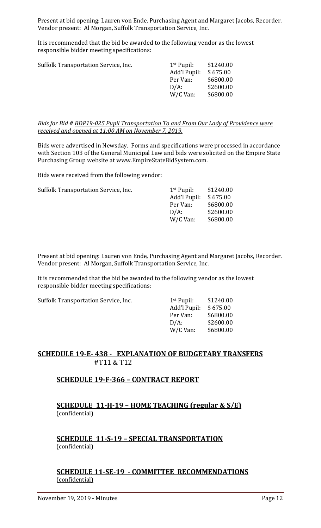Present at bid opening: Lauren von Ende, Purchasing Agent and Margaret Jacobs, Recorder. Vendor present: Al Morgan, Suffolk Transportation Service, Inc.

It is recommended that the bid be awarded to the following vendor as the lowest responsible bidder meeting specifications:

| Suffolk Transportation Service, Inc. | $1st$ Pupil: | \$1240.00 |
|--------------------------------------|--------------|-----------|
|                                      | Add'l Pupil: | \$675.00  |
|                                      | Per Van:     | \$6800.00 |
|                                      | $D/A$ :      | \$2600.00 |
|                                      | W/C Van:     | \$6800.00 |
|                                      |              |           |

*Bids for Bid # BDP19-025 Pupil Transportation To and From Our Lady of Providence were received and opened at 11:00 AM on November 7, 2019.*

Bids were advertised in Newsday. Forms and specifications were processed in accordance with Section 103 of the General Municipal Law and bids were solicited on the Empire State Purchasing Group website at [www.EmpireStateBidSystem.com.](http://www.empirestatebidsystem.com/)

Bids were received from the following vendor:

| Suffolk Transportation Service, Inc. | $1st$ Pupil: | \$1240.00 |
|--------------------------------------|--------------|-----------|
|                                      | Add'l Pupil: | \$675.00  |
|                                      | Per Van:     | \$6800.00 |
|                                      | $D/A$ :      | \$2600.00 |
|                                      | W/C Van:     | \$6800.00 |
|                                      |              |           |

Present at bid opening: Lauren von Ende, Purchasing Agent and Margaret Jacobs, Recorder. Vendor present: Al Morgan, Suffolk Transportation Service, Inc.

It is recommended that the bid be awarded to the following vendor as the lowest responsible bidder meeting specifications:

Suffolk Transportation Service, Inc.

| 1 <sup>st</sup> Pupil: | \$1240.00 |
|------------------------|-----------|
| Add'l Pupil:           | \$675.00  |
| Per Van:               | \$6800.00 |
| D/A:                   | \$2600.00 |
| W/C Van:               | \$6800.00 |
|                        |           |

# **SCHEDULE 19-E- 438 - EXPLANATION OF BUDGETARY TRANSFERS** #T11 & T12

# **SCHEDULE 19-F-366 – CONTRACT REPORT**

**SCHEDULE 11-H-19 – HOME TEACHING (regular & S/E)**  (confidential)

**SCHEDULE 11-S-19 – SPECIAL TRANSPORTATION**  (confidential)

# **SCHEDULE 11-SE-19 - COMMITTEE RECOMMENDATIONS** (confidential)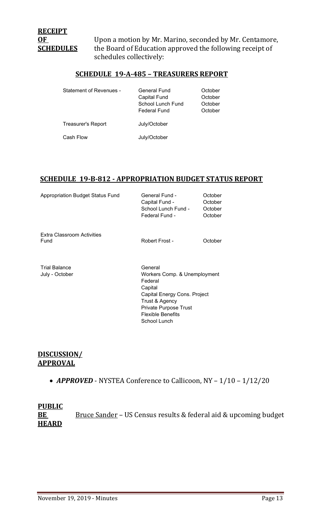**OF** Upon a motion by Mr. Marino, seconded by Mr. Centamore,<br>**SCHEDULES** the Board of Education approved the following receipt of the Board of Education approved the following receipt of schedules collectively:

# **SCHEDULE 19-A-485 – TREASURERS REPORT**

| <b>Statement of Revenues -</b> | General Fund<br><b>Capital Fund</b><br>School Lunch Fund<br><b>Federal Fund</b> | October<br>October<br>October<br>October |
|--------------------------------|---------------------------------------------------------------------------------|------------------------------------------|
| Treasurer's Report             | July/October                                                                    |                                          |
| Cash Flow                      | July/October                                                                    |                                          |

# **SCHEDULE 19-B-812 - APPROPRIATION BUDGET STATUS REPORT**

| <b>Appropriation Budget Status Fund</b> | General Fund -<br>Capital Fund -<br>School Lunch Fund -<br>Federal Fund - | October<br>October<br>October<br>October |
|-----------------------------------------|---------------------------------------------------------------------------|------------------------------------------|
| Extra Classroom Activities<br>Fund      | Robert Frost -                                                            | October                                  |
| <b>Trial Balance</b><br>July - October  | General<br>Workers Comp. & Unemployment<br>Federal<br>Capital             |                                          |

Capital Energy Cons. Project Trust & Agency Private Purpose Trust Flexible Benefits School Lunch

# **DISCUSSION/ APPROVAL**

• **APPROVED** - NYSTEA Conference to Callicoon, NY - 1/10 - 1/12/20

# **PUBLIC**  BE Bruce Sander - US Census results & federal aid & upcoming budget **HEARD**